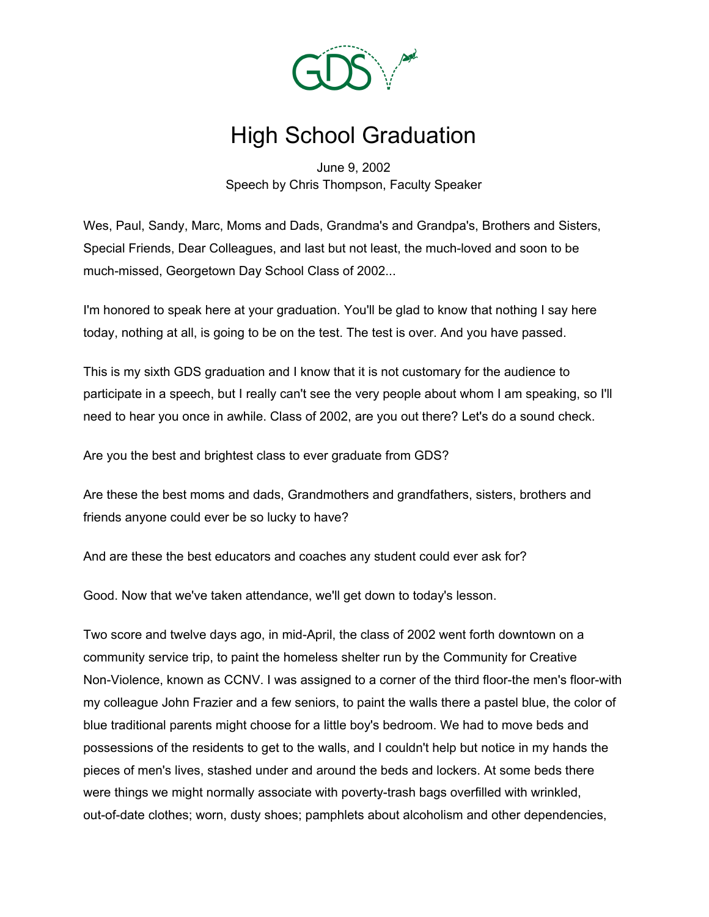

## High School Graduation

June 9, 2002 Speech by Chris Thompson, Faculty Speaker

Wes, Paul, Sandy, Marc, Moms and Dads, Grandma's and Grandpa's, Brothers and Sisters, Special Friends, Dear Colleagues, and last but not least, the much-loved and soon to be much-missed, Georgetown Day School Class of 2002...

I'm honored to speak here at your graduation. You'll be glad to know that nothing I say here today, nothing at all, is going to be on the test. The test is over. And you have passed.

This is my sixth GDS graduation and I know that it is not customary for the audience to participate in a speech, but I really can't see the very people about whom I am speaking, so I'll need to hear you once in awhile. Class of 2002, are you out there? Let's do a sound check.

Are you the best and brightest class to ever graduate from GDS?

Are these the best moms and dads, Grandmothers and grandfathers, sisters, brothers and friends anyone could ever be so lucky to have?

And are these the best educators and coaches any student could ever ask for?

Good. Now that we've taken attendance, we'll get down to today's lesson.

Two score and twelve days ago, in mid-April, the class of 2002 went forth downtown on a community service trip, to paint the homeless shelter run by the Community for Creative Non-Violence, known as CCNV. I was assigned to a corner of the third floor-the men's floor-with my colleague John Frazier and a few seniors, to paint the walls there a pastel blue, the color of blue traditional parents might choose for a little boy's bedroom. We had to move beds and possessions of the residents to get to the walls, and I couldn't help but notice in my hands the pieces of men's lives, stashed under and around the beds and lockers. At some beds there were things we might normally associate with poverty-trash bags overfilled with wrinkled, out-of-date clothes; worn, dusty shoes; pamphlets about alcoholism and other dependencies,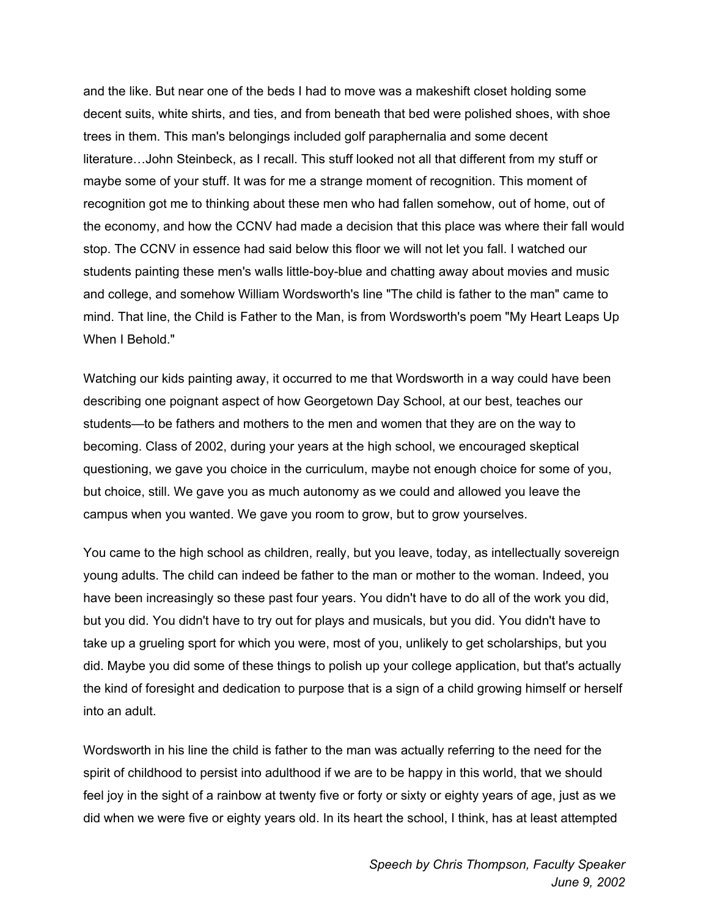and the like. But near one of the beds I had to move was a makeshift closet holding some decent suits, white shirts, and ties, and from beneath that bed were polished shoes, with shoe trees in them. This man's belongings included golf paraphernalia and some decent literature…John Steinbeck, as I recall. This stuff looked not all that different from my stuff or maybe some of your stuff. It was for me a strange moment of recognition. This moment of recognition got me to thinking about these men who had fallen somehow, out of home, out of the economy, and how the CCNV had made a decision that this place was where their fall would stop. The CCNV in essence had said below this floor we will not let you fall. I watched our students painting these men's walls little-boy-blue and chatting away about movies and music and college, and somehow William Wordsworth's line "The child is father to the man" came to mind. That line, the Child is Father to the Man, is from Wordsworth's poem "My Heart Leaps Up When I Behold."

Watching our kids painting away, it occurred to me that Wordsworth in a way could have been describing one poignant aspect of how Georgetown Day School, at our best, teaches our students—to be fathers and mothers to the men and women that they are on the way to becoming. Class of 2002, during your years at the high school, we encouraged skeptical questioning, we gave you choice in the curriculum, maybe not enough choice for some of you, but choice, still. We gave you as much autonomy as we could and allowed you leave the campus when you wanted. We gave you room to grow, but to grow yourselves.

You came to the high school as children, really, but you leave, today, as intellectually sovereign young adults. The child can indeed be father to the man or mother to the woman. Indeed, you have been increasingly so these past four years. You didn't have to do all of the work you did, but you did. You didn't have to try out for plays and musicals, but you did. You didn't have to take up a grueling sport for which you were, most of you, unlikely to get scholarships, but you did. Maybe you did some of these things to polish up your college application, but that's actually the kind of foresight and dedication to purpose that is a sign of a child growing himself or herself into an adult.

Wordsworth in his line the child is father to the man was actually referring to the need for the spirit of childhood to persist into adulthood if we are to be happy in this world, that we should feel joy in the sight of a rainbow at twenty five or forty or sixty or eighty years of age, just as we did when we were five or eighty years old. In its heart the school, I think, has at least attempted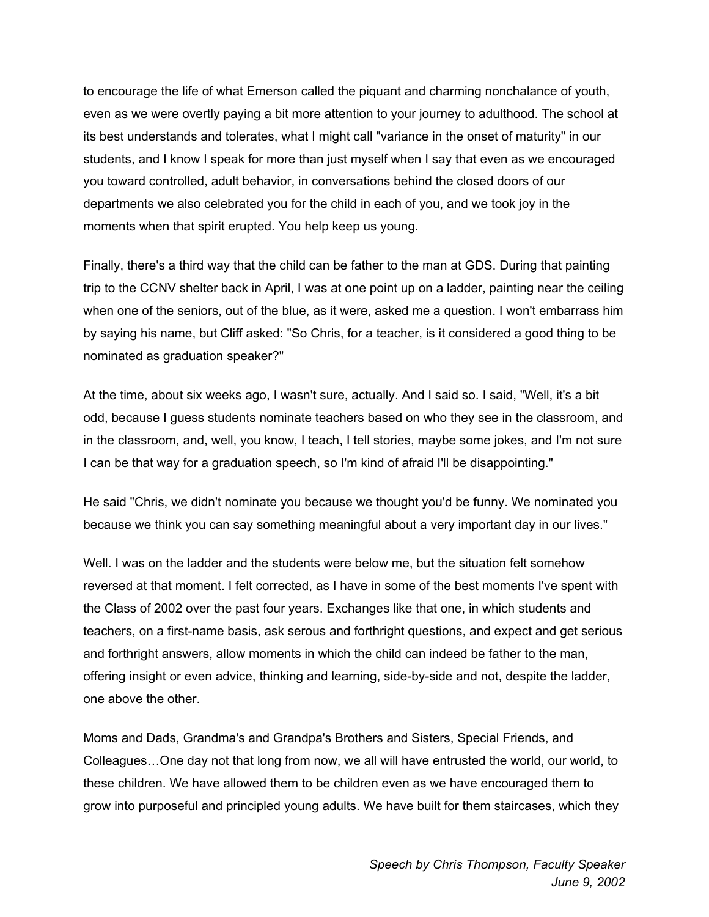to encourage the life of what Emerson called the piquant and charming nonchalance of youth, even as we were overtly paying a bit more attention to your journey to adulthood. The school at its best understands and tolerates, what I might call "variance in the onset of maturity" in our students, and I know I speak for more than just myself when I say that even as we encouraged you toward controlled, adult behavior, in conversations behind the closed doors of our departments we also celebrated you for the child in each of you, and we took joy in the moments when that spirit erupted. You help keep us young.

Finally, there's a third way that the child can be father to the man at GDS. During that painting trip to the CCNV shelter back in April, I was at one point up on a ladder, painting near the ceiling when one of the seniors, out of the blue, as it were, asked me a question. I won't embarrass him by saying his name, but Cliff asked: "So Chris, for a teacher, is it considered a good thing to be nominated as graduation speaker?"

At the time, about six weeks ago, I wasn't sure, actually. And I said so. I said, "Well, it's a bit odd, because I guess students nominate teachers based on who they see in the classroom, and in the classroom, and, well, you know, I teach, I tell stories, maybe some jokes, and I'm not sure I can be that way for a graduation speech, so I'm kind of afraid I'll be disappointing."

He said "Chris, we didn't nominate you because we thought you'd be funny. We nominated you because we think you can say something meaningful about a very important day in our lives."

Well. I was on the ladder and the students were below me, but the situation felt somehow reversed at that moment. I felt corrected, as I have in some of the best moments I've spent with the Class of 2002 over the past four years. Exchanges like that one, in which students and teachers, on a first-name basis, ask serous and forthright questions, and expect and get serious and forthright answers, allow moments in which the child can indeed be father to the man, offering insight or even advice, thinking and learning, side-by-side and not, despite the ladder, one above the other.

Moms and Dads, Grandma's and Grandpa's Brothers and Sisters, Special Friends, and Colleagues…One day not that long from now, we all will have entrusted the world, our world, to these children. We have allowed them to be children even as we have encouraged them to grow into purposeful and principled young adults. We have built for them staircases, which they